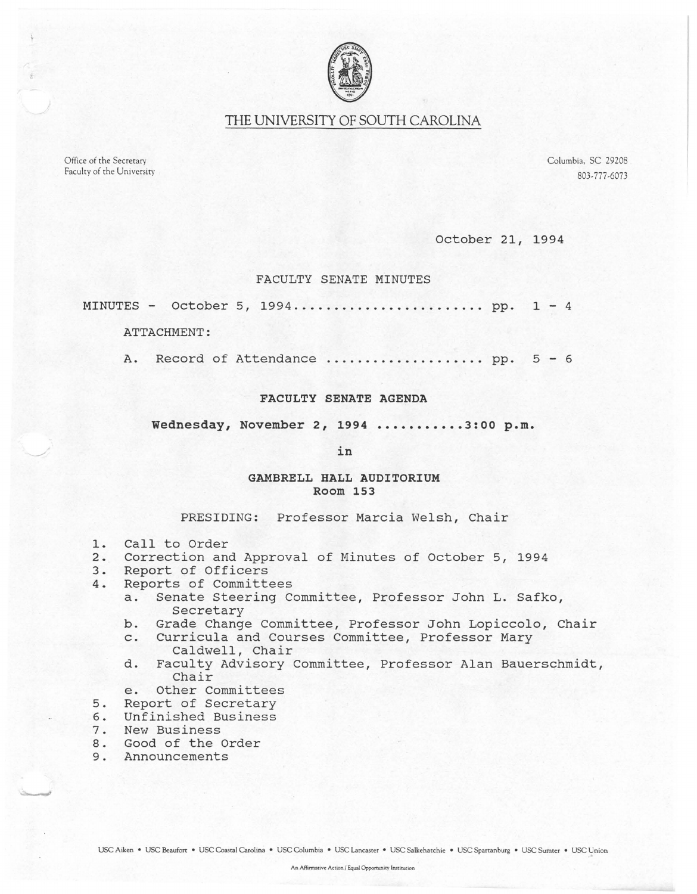

# THE UNIVERSITY OF SOUTH CAROLINA

Office of the Secretary Faculty of the University Columbia, SC 29208 803-777-6073

October 21, 1994

### FACULTY SENATE MINUTES

MINUTES - October 5, 1994 ........................ pp. 1 - 4

ATTACHMENT:

A. Record of Attendance ........................... pp. 5 - 6

### FACULTY SENATE AGENDA

Wednesday, November 2, 1994 ••••••••••• 3:00 p.m.

in

## GAMBRELL HALL AUDITORIUM Room 153

#### PRESIDING: Professor Marcia Welsh, Chair

- 1. Call to Order<br>2. Correction and
- 2. Correction and Approval of Minutes of October 5, 1994
- 3. Report of Officers<br>4. Reports of Committe
- 4. Reports of Committees
	- a. Senate Steering Committee, Professor John L. Safko, Secretary
	- b. Grade Change Committee, Professor John Lopiccolo, Chair
	- c. Curricula and Courses Committee, Professor Mary Caldwell, Chair
	- d. Faculty Advisory Committee, Professor Alan Bauerschmidt, Chair
	- e. Other Committees
- 5. Report of Secretary
- 6. Unfinished Business
- 7. New Business
- 8. Good of the Order
- 9. Announcements